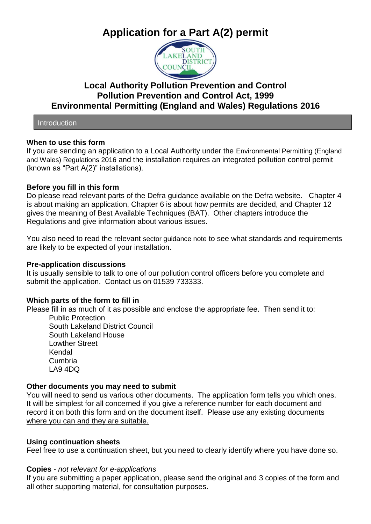# **Application for a Part A(2) permit**



# **Local Authority Pollution Prevention and Control Pollution Prevention and Control Act, 1999 Environmental Permitting (England and Wales) Regulations 2016**

**Introduction** 

## **When to use this form**

If you are sending an application to a Local Authority under the Environmental Permitting (England and Wales) Regulations 2016 and the installation requires an integrated pollution control permit (known as "Part A(2)" installations).

## **Before you fill in this form**

Do please read relevant parts of the Defra guidance available on the Defra website. Chapter 4 is about making an application, Chapter 6 is about how permits are decided, and Chapter 12 gives the meaning of Best Available Techniques (BAT). Other chapters introduce the Regulations and give information about various issues.

You also need to read the relevant sector guidance note to see what standards and requirements are likely to be expected of your installation.

#### **Pre-application discussions**

It is usually sensible to talk to one of our pollution control officers before you complete and submit the application. Contact us on 01539 733333.

#### **Which parts of the form to fill in**

Please fill in as much of it as possible and enclose the appropriate fee. Then send it to:

Public Protection South Lakeland District Council South Lakeland House Lowther Street Kendal Cumbria LA9 4DQ

#### **Other documents you may need to submit**

You will need to send us various other documents. The application form tells you which ones. It will be simplest for all concerned if you give a reference number for each document and record it on both this form and on the document itself. Please use any existing documents where you can and they are suitable.

#### **Using continuation sheets**

Feel free to use a continuation sheet, but you need to clearly identify where you have done so.

#### **Copies** - *not relevant for e-applications*

If you are submitting a paper application, please send the original and 3 copies of the form and all other supporting material, for consultation purposes.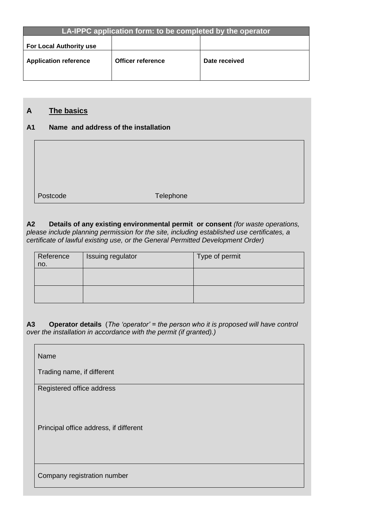| LA-IPPC application form: to be completed by the operator |                   |               |
|-----------------------------------------------------------|-------------------|---------------|
|                                                           |                   |               |
|                                                           |                   |               |
| <b>For Local Authority use</b>                            |                   |               |
|                                                           |                   |               |
| <b>Application reference</b>                              | Officer reference | Date received |
|                                                           |                   |               |

# **A The basics**

# **A1 Name and address of the installation**

| Postcode | Telephone |
|----------|-----------|

**A2 Details of any existing environmental permit or consent** *(for waste operations, please include planning permission for the site, including established use certificates, a certificate of lawful existing use, or the General Permitted Development Order)*

| Reference<br>no. | Issuing regulator | Type of permit |
|------------------|-------------------|----------------|
|                  |                   |                |
|                  |                   |                |

**A3 Operator details** (*The 'operator' = the person who it is proposed will have control over the installation in accordance with the permit (if granted).)*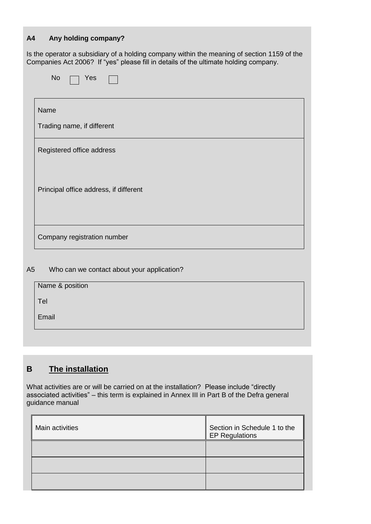# **A4 Any holding company?**

Is the operator a subsidiary of a holding company within the meaning of section 1159 of the Companies Act 2006? If "yes" please fill in details of the ultimate holding company.

| Name |                                        |
|------|----------------------------------------|
|      | Trading name, if different             |
|      | Registered office address              |
|      | Principal office address, if different |
|      | Company registration number            |

## A5 Who can we contact about your application?

| Name & position |  |
|-----------------|--|
| Tel             |  |
| Email           |  |
|                 |  |

# **B The installation**

What activities are or will be carried on at the installation? Please include "directly associated activities" – this term is explained in Annex III in Part B of the Defra general guidance manual

| Main activities | Section in Schedule 1 to the<br><b>EP Regulations</b> |
|-----------------|-------------------------------------------------------|
|                 |                                                       |
|                 |                                                       |
|                 |                                                       |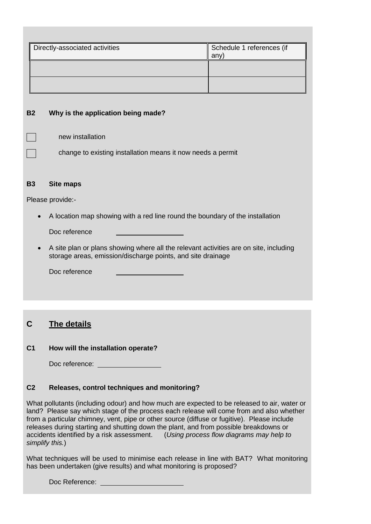| Directly-associated activities | Schedule 1 references (if<br>any |
|--------------------------------|----------------------------------|
|                                |                                  |
|                                |                                  |

#### **B2 Why is the application being made?**

|  | new installation |
|--|------------------|
|--|------------------|

change to existing installation means it now needs a permit

## **B3 Site maps**

Please provide:-

A location map showing with a red line round the boundary of the installation

Doc reference

 A site plan or plans showing where all the relevant activities are on site, including storage areas, emission/discharge points, and site drainage

Doc reference

# **C The details**

#### **C1 How will the installation operate?**

Doc reference:

# **C2 Releases, control techniques and monitoring?**

What pollutants (including odour) and how much are expected to be released to air, water or land? Please say which stage of the process each release will come from and also whether from a particular chimney, vent, pipe or other source (diffuse or fugitive). Please include releases during starting and shutting down the plant, and from possible breakdowns or accidents identified by a risk assessment. (*Using process flow diagrams may help to simplify this.*)

What techniques will be used to minimise each release in line with BAT? What monitoring has been undertaken (give results) and what monitoring is proposed?

Doc Reference: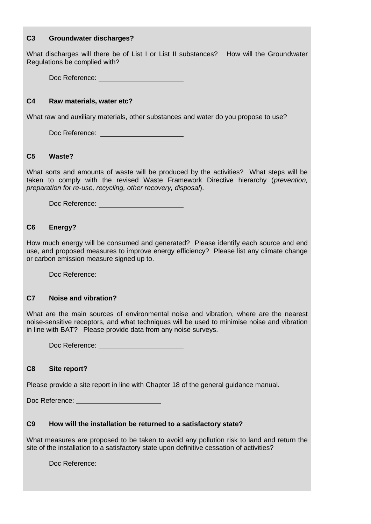#### **C3 Groundwater discharges?**

What discharges will there be of List I or List II substances? How will the Groundwater Regulations be complied with?

Doc Reference: \_\_\_\_\_\_\_

#### **C4 Raw materials, water etc?**

What raw and auxiliary materials, other substances and water do you propose to use?

Doc Reference: <u>\_\_\_\_\_\_\_\_\_\_\_\_\_\_\_\_\_\_\_\_\_\_</u>

#### **C5 Waste?**

What sorts and amounts of waste will be produced by the activities? What steps will be taken to comply with the revised Waste Framework Directive hierarchy (*prevention, preparation for re-use, recycling, other recovery, disposal*).

Doc Reference:

## **C6 Energy?**

How much energy will be consumed and generated? Please identify each source and end use, and proposed measures to improve energy efficiency? Please list any climate change or carbon emission measure signed up to.

Doc Reference: **with a control of the control of the control of the control of the control of the control of the control of the control of the control of the control of the control of the control of the control of the cont** 

#### **C7 Noise and vibration?**

What are the main sources of environmental noise and vibration, where are the nearest noise-sensitive receptors, and what techniques will be used to minimise noise and vibration in line with BAT? Please provide data from any noise surveys.

Doc Reference: Note that the state of the state of the state of the state of the state of the state of the state of the state of the state of the state of the state of the state of the state of the state of the state of th

#### **C8 Site report?**

Please provide a site report in line with Chapter 18 of the general guidance manual.

Doc Reference: New York 1997

#### **C9 How will the installation be returned to a satisfactory state?**

What measures are proposed to be taken to avoid any pollution risk to land and return the site of the installation to a satisfactory state upon definitive cessation of activities?

Doc Reference: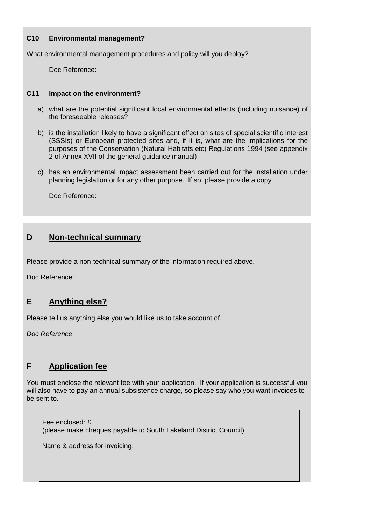#### **C10 Environmental management?**

What environmental management procedures and policy will you deploy?

Doc Reference: University

#### **C11 Impact on the environment?**

- a) what are the potential significant local environmental effects (including nuisance) of the foreseeable releases?
- b) is the installation likely to have a significant effect on sites of special scientific interest (SSSIs) or European protected sites and, if it is, what are the implications for the purposes of the Conservation (Natural Habitats etc) Regulations 1994 (see appendix 2 of Annex XVII of the general guidance manual)
- c) has an environmental impact assessment been carried out for the installation under planning legislation or for any other purpose. If so, please provide a copy

Doc Reference: Network and the set of the set of the set of the set of the set of the set of the set of the set of the set of the set of the set of the set of the set of the set of the set of the set of the set of the set

# **D Non-technical summary**

Please provide a non-technical summary of the information required above.

Doc Reference:

# **E Anything else?**

Please tell us anything else you would like us to take account of.

*Doc Reference*

# **F Application fee**

You must enclose the relevant fee with your application. If your application is successful you will also have to pay an annual subsistence charge, so please say who you want invoices to be sent to.

Fee enclosed: £ (please make cheques payable to South Lakeland District Council)

Name & address for invoicing: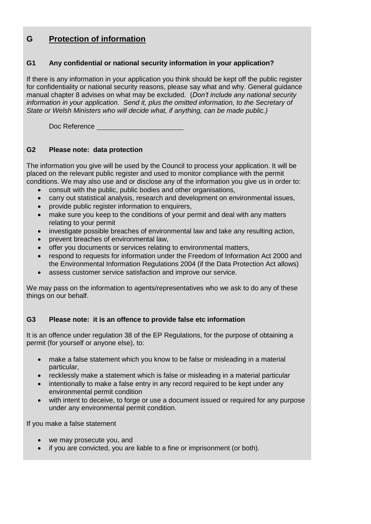# **G Protection of information**

### **G1 Any confidential or national security information in your application?**

If there is any information in your application you think should be kept off the public register for confidentiality or national security reasons, please say what and why. General guidance manual chapter 8 advises on what may be excluded. (*Don't include any national security information in your application. Send it, plus the omitted information, to the Secretary of State or Welsh Ministers who will decide what, if anything, can be made public.)*

Doc Reference

## **G2 Please note: data protection**

The information you give will be used by the Council to process your application. It will be placed on the relevant public register and used to monitor compliance with the permit conditions. We may also use and or disclose any of the information you give us in order to:

- consult with the public, public bodies and other organisations,
- carry out statistical analysis, research and development on environmental issues,
- provide public register information to enquirers,
- make sure you keep to the conditions of your permit and deal with any matters relating to your permit
- investigate possible breaches of environmental law and take any resulting action,
- prevent breaches of environmental law,
- offer you documents or services relating to environmental matters,
- respond to requests for information under the Freedom of Information Act 2000 and the Environmental Information Regulations 2004 (if the Data Protection Act allows)
- assess customer service satisfaction and improve our service.

We may pass on the information to agents/representatives who we ask to do any of these things on our behalf.

# **G3 Please note: it is an offence to provide false etc information**

It is an offence under regulation 38 of the EP Regulations, for the purpose of obtaining a permit (for yourself or anyone else), to:

- make a false statement which you know to be false or misleading in a material particular,
- recklessly make a statement which is false or misleading in a material particular
- intentionally to make a false entry in any record required to be kept under any environmental permit condition
- with intent to deceive, to forge or use a document issued or required for any purpose under any environmental permit condition.

If you make a false statement

- we may prosecute you, and
- if you are convicted, you are liable to a fine or imprisonment (or both).